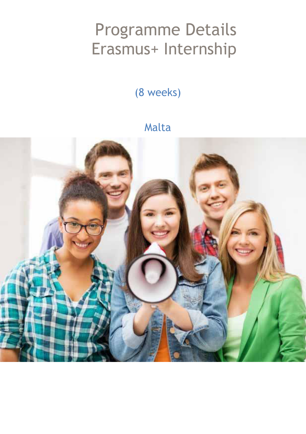# Programme Details Erasmus+ Internship

(8 weeks)

#### Malta

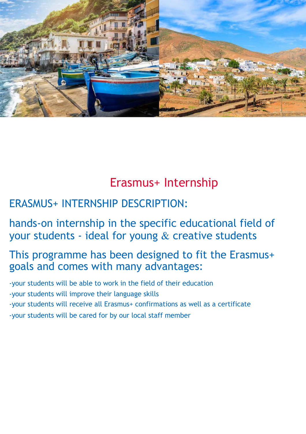

### Erasmus+ Internship

#### ERASMUS+ INTERNSHIP DESCRIPTION:

#### hands-on internship in the specific educational field of your students - ideal for young  $\&$  creative students

#### This programme has been designed to fit the Erasmus+ goals and comes with many advantages:

-your students will be able to work in the field of their education -your students will improve their language skills -your students will receive all Erasmus+ confirmations as well as a certificate -your students will be cared for by our local staff member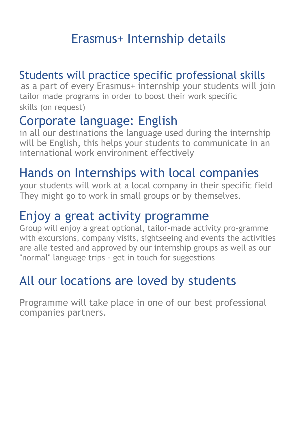# Erasmus+ Internship details

#### Students will practice specific professional skills

as a part of every Erasmus+ internship your students will join tailor made programs in order to boost their work specific skills (on request)

### Corporate language: English

in all our destinations the language used during the internship will be English, this helps your students to communicate in an international work environment effectively

### Hands on Internships with local companies

your students will work at a local company in their specific field They might go to work in small groups or by themselves.

### Enjoy a great activity programme

Group will enjoy a great optional, tailor-made activity pro-gramme with excursions, company visits, sightseeing and events the activities are alle tested and approved by our internship groups as well as our "normal" language trips - get in touch for suggestions

# All our locations are loved by students

Programme will take place in one of our best professional companies partners.